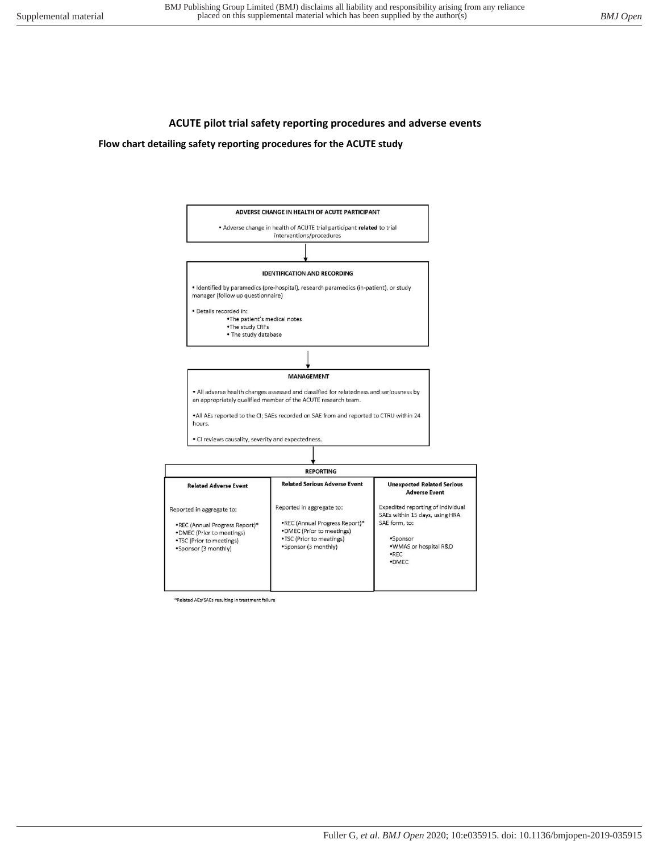## **ACUTE pilot trial safety reporting procedures and adverse events**

#### **Flow chart detailing safety reporting procedures for the ACUTE study**



\*Related AEs/SAEs resulting in treatment failure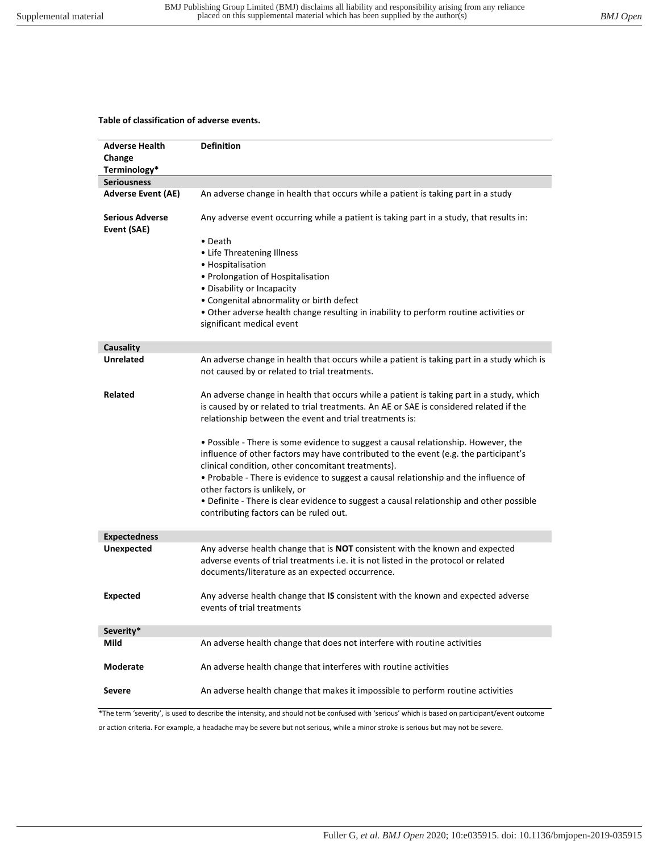# **Table of classification of adverse events.**

| <b>Adverse Health</b>                 | <b>Definition</b>                                                                                                                                                                                                                                                                                                                                                                                         |
|---------------------------------------|-----------------------------------------------------------------------------------------------------------------------------------------------------------------------------------------------------------------------------------------------------------------------------------------------------------------------------------------------------------------------------------------------------------|
| Change                                |                                                                                                                                                                                                                                                                                                                                                                                                           |
| Terminology*                          |                                                                                                                                                                                                                                                                                                                                                                                                           |
| <b>Seriousness</b>                    |                                                                                                                                                                                                                                                                                                                                                                                                           |
| <b>Adverse Event (AE)</b>             | An adverse change in health that occurs while a patient is taking part in a study                                                                                                                                                                                                                                                                                                                         |
| <b>Serious Adverse</b><br>Event (SAE) | Any adverse event occurring while a patient is taking part in a study, that results in:                                                                                                                                                                                                                                                                                                                   |
|                                       | • Death<br>• Life Threatening Illness<br>• Hospitalisation<br>• Prolongation of Hospitalisation<br>• Disability or Incapacity<br>• Congenital abnormality or birth defect<br>. Other adverse health change resulting in inability to perform routine activities or<br>significant medical event                                                                                                           |
| Causality                             |                                                                                                                                                                                                                                                                                                                                                                                                           |
| <b>Unrelated</b>                      | An adverse change in health that occurs while a patient is taking part in a study which is<br>not caused by or related to trial treatments.                                                                                                                                                                                                                                                               |
| Related                               | An adverse change in health that occurs while a patient is taking part in a study, which<br>is caused by or related to trial treatments. An AE or SAE is considered related if the<br>relationship between the event and trial treatments is:<br>. Possible - There is some evidence to suggest a causal relationship. However, the                                                                       |
|                                       | influence of other factors may have contributed to the event (e.g. the participant's<br>clinical condition, other concomitant treatments).<br>. Probable - There is evidence to suggest a causal relationship and the influence of<br>other factors is unlikely, or<br>• Definite - There is clear evidence to suggest a causal relationship and other possible<br>contributing factors can be ruled out. |
| <b>Expectedness</b>                   |                                                                                                                                                                                                                                                                                                                                                                                                           |
| <b>Unexpected</b>                     | Any adverse health change that is NOT consistent with the known and expected<br>adverse events of trial treatments i.e. it is not listed in the protocol or related<br>documents/literature as an expected occurrence.                                                                                                                                                                                    |
| <b>Expected</b>                       | Any adverse health change that IS consistent with the known and expected adverse<br>events of trial treatments                                                                                                                                                                                                                                                                                            |
| Severity*                             |                                                                                                                                                                                                                                                                                                                                                                                                           |
| Mild                                  | An adverse health change that does not interfere with routine activities                                                                                                                                                                                                                                                                                                                                  |
| Moderate                              | An adverse health change that interferes with routine activities                                                                                                                                                                                                                                                                                                                                          |
| <b>Severe</b>                         | An adverse health change that makes it impossible to perform routine activities                                                                                                                                                                                                                                                                                                                           |
|                                       | *The term 'severity', is used to describe the intensity, and should not be confused with 'serious' which is based on participant/event outcome                                                                                                                                                                                                                                                            |

or action criteria. For example, a headache may be severe but not serious, while a minor stroke is serious but may not be severe.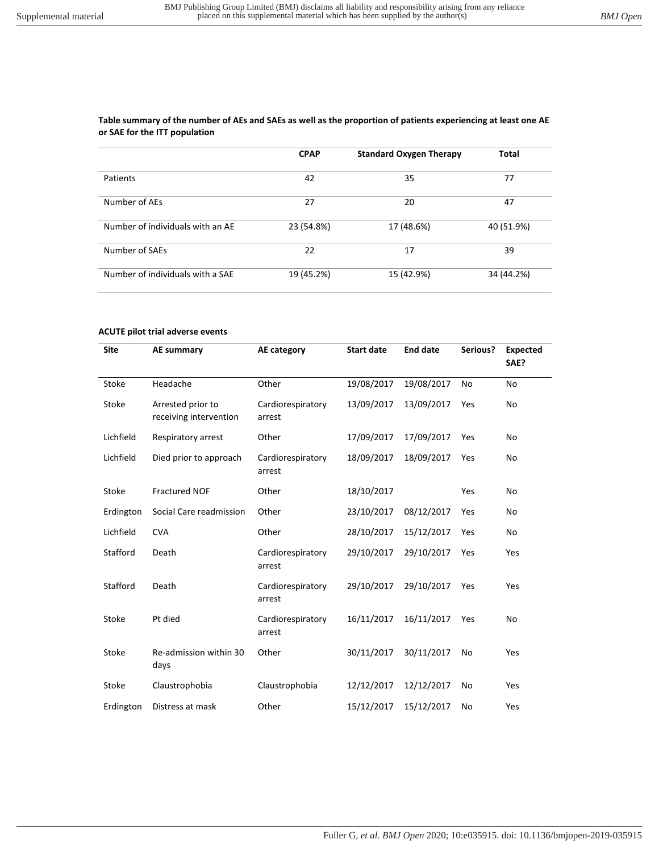### **Table summary of the number of AEs and SAEs as well as the proportion of patients experiencing at least one AE or SAE for the ITT population**

|                                  | <b>CPAP</b> | <b>Standard Oxygen Therapy</b> | <b>Total</b> |
|----------------------------------|-------------|--------------------------------|--------------|
|                                  |             |                                |              |
| Patients                         | 42          | 35                             | 77           |
| Number of AEs                    | 27          | 20                             | 47           |
| Number of individuals with an AE | 23 (54.8%)  | 17 (48.6%)                     | 40 (51.9%)   |
| Number of SAEs                   | 22          | 17                             | 39           |
| Number of individuals with a SAE | 19 (45.2%)  | 15 (42.9%)                     | 34 (44.2%)   |

### **ACUTE pilot trial adverse events**

| <b>Site</b> | AE summary                                  | AE category                 | <b>Start date</b> | <b>End date</b> | Serious? | <b>Expected</b><br>SAE? |
|-------------|---------------------------------------------|-----------------------------|-------------------|-----------------|----------|-------------------------|
| Stoke       | Headache                                    | Other                       | 19/08/2017        | 19/08/2017      | No       | No                      |
| Stoke       | Arrested prior to<br>receiving intervention | Cardiorespiratory<br>arrest | 13/09/2017        | 13/09/2017      | Yes      | No                      |
| Lichfield   | Respiratory arrest                          | Other                       | 17/09/2017        | 17/09/2017      | Yes      | No                      |
| Lichfield   | Died prior to approach                      | Cardiorespiratory<br>arrest | 18/09/2017        | 18/09/2017      | Yes      | No                      |
| Stoke       | <b>Fractured NOF</b>                        | Other                       | 18/10/2017        |                 | Yes      | No                      |
| Erdington   | Social Care readmission                     | Other                       | 23/10/2017        | 08/12/2017      | Yes      | No                      |
| Lichfield   | <b>CVA</b>                                  | Other                       | 28/10/2017        | 15/12/2017      | Yes      | No                      |
| Stafford    | Death                                       | Cardiorespiratory<br>arrest | 29/10/2017        | 29/10/2017      | Yes      | Yes                     |
| Stafford    | Death                                       | Cardiorespiratory<br>arrest | 29/10/2017        | 29/10/2017      | Yes      | Yes                     |
| Stoke       | Pt died                                     | Cardiorespiratory<br>arrest | 16/11/2017        | 16/11/2017      | Yes      | No                      |
| Stoke       | Re-admission within 30<br>days              | Other                       | 30/11/2017        | 30/11/2017      | No       | Yes                     |
| Stoke       | Claustrophobia                              | Claustrophobia              | 12/12/2017        | 12/12/2017      | No       | Yes                     |
| Erdington   | Distress at mask                            | Other                       | 15/12/2017        | 15/12/2017      | No       | Yes                     |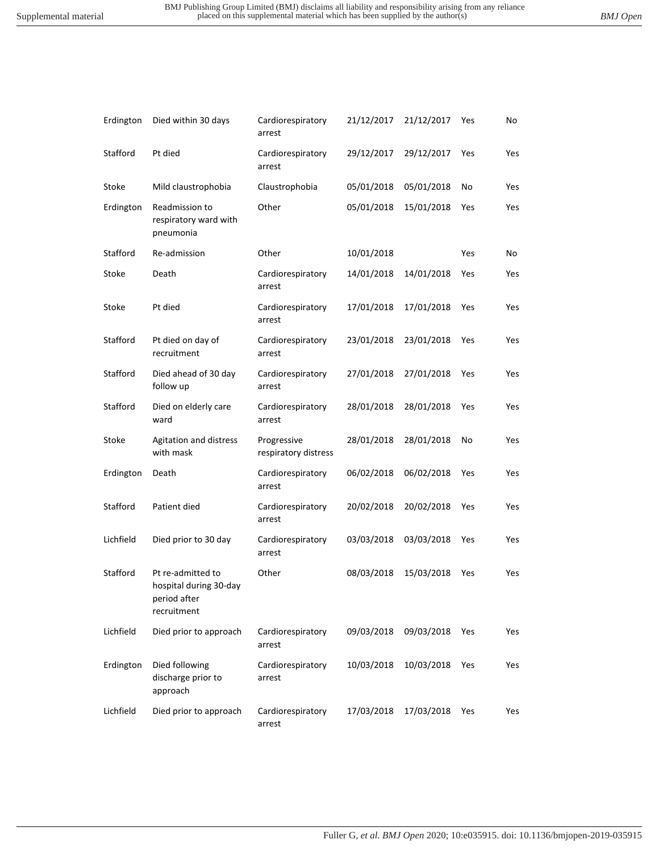| Erdington | Died within 30 days                                                        | Cardiorespiratory<br>arrest         | 21/12/2017 | 21/12/2017 | Yes | No  |
|-----------|----------------------------------------------------------------------------|-------------------------------------|------------|------------|-----|-----|
| Stafford  | Pt died                                                                    | Cardiorespiratory<br>arrest         | 29/12/2017 | 29/12/2017 | Yes | Yes |
| Stoke     | Mild claustrophobia                                                        | Claustrophobia                      | 05/01/2018 | 05/01/2018 | No  | Yes |
| Erdington | Readmission to<br>respiratory ward with<br>pneumonia                       | Other                               | 05/01/2018 | 15/01/2018 | Yes | Yes |
| Stafford  | Re-admission                                                               | Other                               | 10/01/2018 |            | Yes | No  |
| Stoke     | Death                                                                      | Cardiorespiratory<br>arrest         | 14/01/2018 | 14/01/2018 | Yes | Yes |
| Stoke     | Pt died                                                                    | Cardiorespiratory<br>arrest         | 17/01/2018 | 17/01/2018 | Yes | Yes |
| Stafford  | Pt died on day of<br>recruitment                                           | Cardiorespiratory<br>arrest         | 23/01/2018 | 23/01/2018 | Yes | Yes |
| Stafford  | Died ahead of 30 day<br>follow up                                          | Cardiorespiratory<br>arrest         | 27/01/2018 | 27/01/2018 | Yes | Yes |
| Stafford  | Died on elderly care<br>ward                                               | Cardiorespiratory<br>arrest         | 28/01/2018 | 28/01/2018 | Yes | Yes |
| Stoke     | Agitation and distress<br>with mask                                        | Progressive<br>respiratory distress | 28/01/2018 | 28/01/2018 | No  | Yes |
| Erdington | Death                                                                      | Cardiorespiratory<br>arrest         | 06/02/2018 | 06/02/2018 | Yes | Yes |
| Stafford  | Patient died                                                               | Cardiorespiratory<br>arrest         | 20/02/2018 | 20/02/2018 | Yes | Yes |
| Lichfield | Died prior to 30 day                                                       | Cardiorespiratory<br>arrest         | 03/03/2018 | 03/03/2018 | Yes | Yes |
| Stafford  | Pt re-admitted to<br>hospital during 30-day<br>period after<br>recruitment | Other                               | 08/03/2018 | 15/03/2018 | Yes | Yes |
| Lichfield | Died prior to approach                                                     | Cardiorespiratory<br>arrest         | 09/03/2018 | 09/03/2018 | Yes | Yes |
| Erdington | Died following<br>discharge prior to<br>approach                           | Cardiorespiratory<br>arrest         | 10/03/2018 | 10/03/2018 | Yes | Yes |
| Lichfield | Died prior to approach                                                     | Cardiorespiratory<br>arrest         | 17/03/2018 | 17/03/2018 | Yes | Yes |